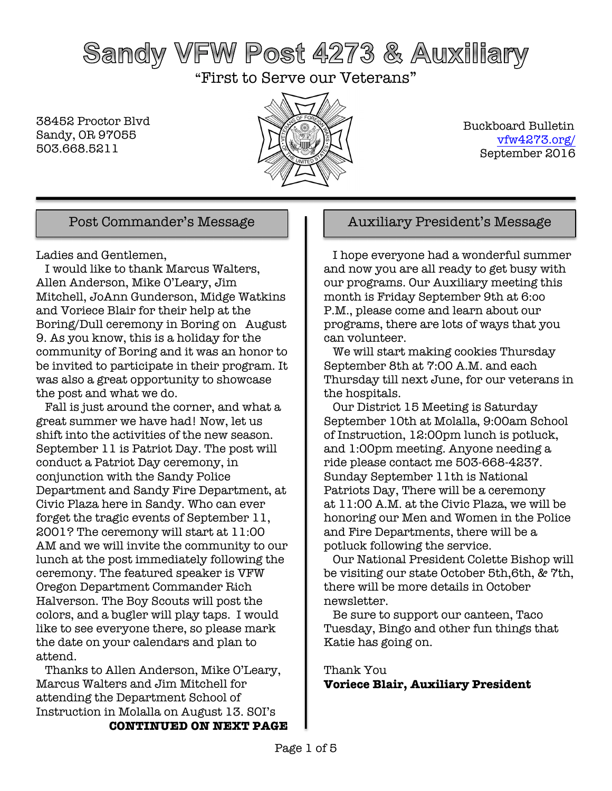# Sandy VFW Post 4273 & Auxiliary

"First to Serve our Veterans"

38452 Proctor Blvd Sandy, OR 97055 503.668.5211



 Buckboard Bulletin vfw4273.org/ September 2016

Ladies and Gentlemen,

 I would like to thank Marcus Walters, Allen Anderson, Mike O'Leary, Jim Mitchell, JoAnn Gunderson, Midge Watkins and Voriece Blair for their help at the Boring/Dull ceremony in Boring on August 9. As you know, this is a holiday for the community of Boring and it was an honor to be invited to participate in their program. It was also a great opportunity to showcase the post and what we do.

 Fall is just around the corner, and what a great summer we have had! Now, let us shift into the activities of the new season. September 11 is Patriot Day. The post will conduct a Patriot Day ceremony, in conjunction with the Sandy Police Department and Sandy Fire Department, at Civic Plaza here in Sandy. Who can ever forget the tragic events of September 11, 2001? The ceremony will start at 11:00 AM and we will invite the community to our lunch at the post immediately following the ceremony. The featured speaker is VFW Oregon Department Commander Rich Halverson. The Boy Scouts will post the colors, and a bugler will play taps. I would like to see everyone there, so please mark the date on your calendars and plan to attend.

 Thanks to Allen Anderson, Mike O'Leary, Marcus Walters and Jim Mitchell for attending the Department School of Instruction in Molalla on August 13. SOI's

### Post Commander's Message  $\parallel$  | Auxiliary President's Message

 I hope everyone had a wonderful summer and now you are all ready to get busy with our programs. Our Auxiliary meeting this month is Friday September 9th at 6:oo P.M., please come and learn about our programs, there are lots of ways that you can volunteer.

 We will start making cookies Thursday September 8th at 7:00 A.M. and each Thursday till next June, for our veterans in the hospitals.

 Our District 15 Meeting is Saturday September 10th at Molalla, 9:00am School of Instruction, 12:00pm lunch is potluck, and 1:00pm meeting. Anyone needing a ride please contact me 503-668-4237. Sunday September 11th is National Patriots Day, There will be a ceremony at 11:00 A.M. at the Civic Plaza, we will be honoring our Men and Women in the Police and Fire Departments, there will be a potluck following the service.

 Our National President Colette Bishop will be visiting our state October 5th,6th, & 7th, there will be more details in October newsletter.

 Be sure to support our canteen, Taco Tuesday, Bingo and other fun things that Katie has going on.

### Thank You **Voriece Blair, Auxiliary President**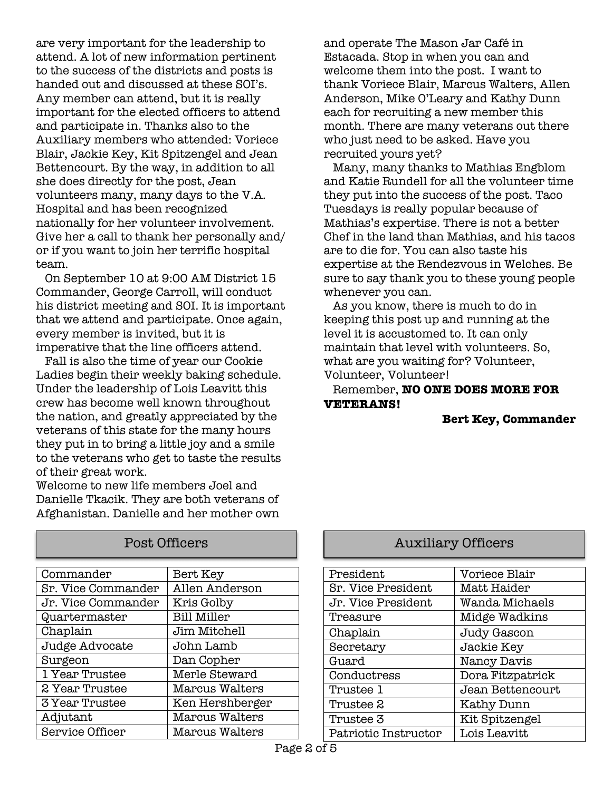are very important for the leadership to attend. A lot of new information pertinent to the success of the districts and posts is handed out and discussed at these SOI's. Any member can attend, but it is really important for the elected officers to attend and participate in. Thanks also to the Auxiliary members who attended: Voriece Blair, Jackie Key, Kit Spitzengel and Jean Bettencourt. By the way, in addition to all she does directly for the post, Jean volunteers many, many days to the V.A. Hospital and has been recognized nationally for her volunteer involvement. Give her a call to thank her personally and/ or if you want to join her terrific hospital team.

 On September 10 at 9:00 AM District 15 Commander, George Carroll, will conduct his district meeting and SOI. It is important that we attend and participate. Once again, every member is invited, but it is imperative that the line officers attend.

 Fall is also the time of year our Cookie Ladies begin their weekly baking schedule. Under the leadership of Lois Leavitt this crew has become well known throughout the nation, and greatly appreciated by the veterans of this state for the many hours they put in to bring a little joy and a smile to the veterans who get to taste the results of their great work.

Welcome to new life members Joel and Danielle Tkacik. They are both veterans of Afghanistan. Danielle and her mother own

| Commander             | Bert Key           |
|-----------------------|--------------------|
| Sr. Vice Commander    | Allen Anderson     |
| Jr. Vice Commander    | Kris Golby         |
| Quartermaster         | <b>Bill Miller</b> |
| Chaplain              | Jim Mitchell       |
| Judge Advocate        | John Lamb          |
| Surgeon               | Dan Copher         |
| 1 Year Trustee        | Merle Steward      |
| 2 Year Trustee        | Marcus Walters     |
| <b>3 Year Trustee</b> | Ken Hershberger    |
| Adjutant              | Marcus Walters     |
| Service Officer       | Marcus Walters     |

and operate The Mason Jar Café in Estacada. Stop in when you can and welcome them into the post. I want to thank Voriece Blair, Marcus Walters, Allen Anderson, Mike O'Leary and Kathy Dunn each for recruiting a new member this month. There are many veterans out there who just need to be asked. Have you recruited yours yet?

 Many, many thanks to Mathias Engblom and Katie Rundell for all the volunteer time they put into the success of the post. Taco Tuesdays is really popular because of Mathias's expertise. There is not a better Chef in the land than Mathias, and his tacos are to die for. You can also taste his expertise at the Rendezvous in Welches. Be sure to say thank you to these young people whenever you can.

 As you know, there is much to do in keeping this post up and running at the level it is accustomed to. It can only maintain that level with volunteers. So, what are you waiting for? Volunteer, Volunteer, Volunteer!

#### Remember, **NO ONE DOES MORE FOR VETERANS!**

#### **Bert Key, Commander**

### Post Officers **Auxiliary Officers**

| President            | Voriece Blair     |
|----------------------|-------------------|
| Sr. Vice President   | Matt Haider       |
| Jr. Vice President   | Wanda Michaels    |
| Treasure             | Midge Wadkins     |
| Chaplain             | Judy Gascon       |
| Secretary            | Jackie Key        |
| Guard                | Nancy Davis       |
| Conductress          | Dora Fitzpatrick  |
| Trustee 1            | Jean Bettencourt  |
| Trustee 2            | <b>Kathy Dunn</b> |
| Trustee 3            | Kit Spitzengel    |
| Patriotic Instructor | Lois Leavitt      |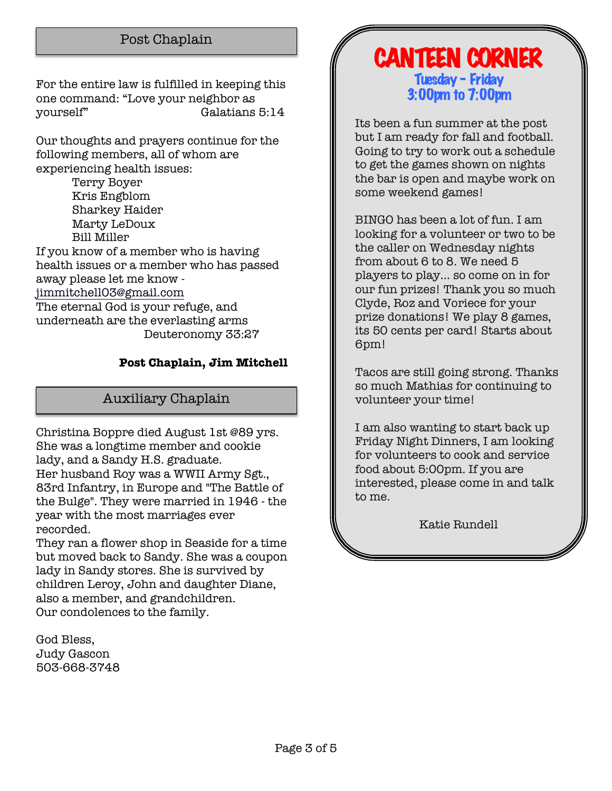### Post Chaplain

For the entire law is fulfilled in keeping this one command: "Love your neighbor as yourself" Galatians 5:14

Our thoughts and prayers continue for the following members, all of whom are experiencing health issues:

> Terry Boyer Kris Engblom Sharkey Haider Marty LeDoux Bill Miller

If you know of a member who is having health issues or a member who has passed away please let me know jimmitchell03@gmail.com The eternal God is your refuge, and underneath are the everlasting arms Deuteronomy 33:27

#### **Post Chaplain, Jim Mitchell**

### Auxiliary Chaplain

Christina Boppre died August 1st @89 yrs. She was a longtime member and cookie lady, and a Sandy H.S. graduate. Her husband Roy was a WWII Army Sgt., 83rd Infantry, in Europe and "The Battle of the Bulge". They were married in 1946 - the year with the most marriages ever recorded.

They ran a flower shop in Seaside for a time but moved back to Sandy. She was a coupon lady in Sandy stores. She is survived by children Leroy, John and daughter Diane, also a member, and grandchildren. Our condolences to the family.

God Bless, Judy Gascon 503-668-3748

### CANTEEN CORNER Tuesday – Friday 3:00pm to 7:00pm

Its been a fun summer at the post but I am ready for fall and football. Going to try to work out a schedule to get the games shown on nights the bar is open and maybe work on some weekend games!

BINGO has been a lot of fun. I am looking for a volunteer or two to be the caller on Wednesday nights from about 6 to 8. We need 5 players to play… so come on in for our fun prizes! Thank you so much Clyde, Roz and Voriece for your prize donations! We play 8 games, its 50 cents per card! Starts about 6pm!

Tacos are still going strong. Thanks so much Mathias for continuing to volunteer your time!

I am also wanting to start back up Friday Night Dinners, I am looking for volunteers to cook and service food about 5:00pm. If you are interested, please come in and talk to me.

Katie Rundell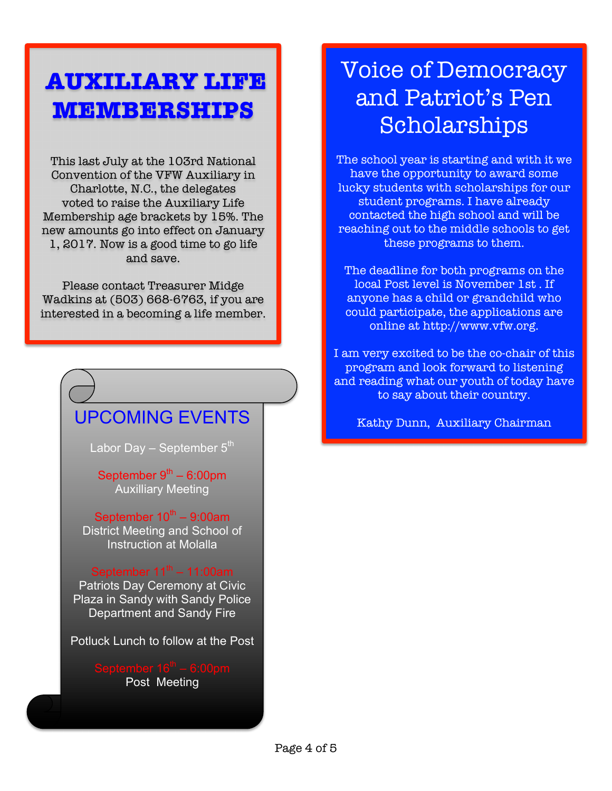## **AUXILIARY LIFE MEMBERSHIPS**

This last July at the 103rd National Convention of the VFW Auxiliary in Charlotte, N.C., the delegates voted to raise the Auxiliary Life Membership age brackets by 15%. The new amounts go into effect on January 1, 2017. Now is a good time to go life and save.

Please contact Treasurer Midge Wadkins at (503) 668-6763, if you are interested in a becoming a life member.

### UPCOMING EVENTS

Labor Day – September  $5<sup>th</sup>$ 

September  $9<sup>th</sup> - 6:00$ pm Auxilliary Meeting

September  $10^{th}$  – 9:00am District Meeting and School of Instruction at Molalla

#### September  $11^{th}$  – 11:00am

Patriots Day Ceremony at Civic Plaza in Sandy with Sandy Police Department and Sandy Fire

Potluck Lunch to follow at the Post

Post Meeting

## Voice of Democracy and Patriot's Pen Scholarships

The school year is starting and with it we have the opportunity to award some lucky students with scholarships for our student programs. I have already contacted the high school and will be reaching out to the middle schools to get these programs to them.

The deadline for both programs on the local Post level is November 1st . If anyone has a child or grandchild who could participate, the applications are online at http://www.vfw.org.

I am very excited to be the co-chair of this program and look forward to listening and reading what our youth of today have to say about their country.

Kathy Dunn, Auxiliary Chairman